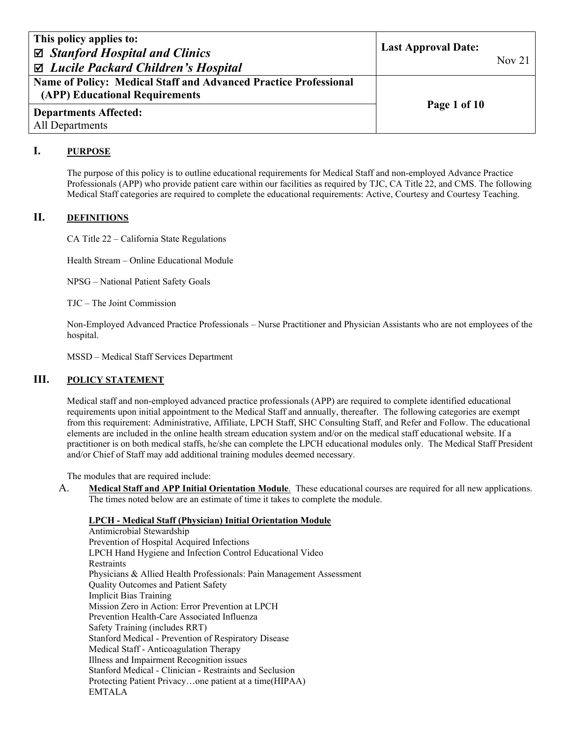| This policy applies to:<br>$\boxtimes$ Stanford Hospital and Clinics<br>⊠ Lucile Packard Children's Hospital | <b>Last Approval Date:</b> | Nov $21$ |
|--------------------------------------------------------------------------------------------------------------|----------------------------|----------|
| Name of Policy: Medical Staff and Advanced Practice Professional<br>(APP) Educational Requirements           | Page 1 of 10               |          |
| <b>Departments Affected:</b><br>All Departments                                                              |                            |          |

# **I. PURPOSE**

The purpose of this policy is to outline educational requirements for Medical Staff and non-employed Advance Practice Professionals (APP) who provide patient care within our facilities as required by TJC, CA Title 22, and CMS. The following Medical Staff categories are required to complete the educational requirements: Active, Courtesy and Courtesy Teaching.

# **II. DEFINITIONS**

CA Title 22 – California State Regulations

Health Stream – Online Educational Module

NPSG – National Patient Safety Goals

TJC – The Joint Commission

Non-Employed Advanced Practice Professionals – Nurse Practitioner and Physician Assistants who are not employees of the hospital.

MSSD – Medical Staff Services Department

# **III. POLICY STATEMENT**

Medical staff and non-employed advanced practice professionals (APP) are required to complete identified educational requirements upon initial appointment to the Medical Staff and annually, thereafter. The following categories are exempt from this requirement: Administrative, Affiliate, LPCH Staff, SHC Consulting Staff, and Refer and Follow. The educational elements are included in the online health stream education system and/or on the medical staff educational website. If a practitioner is on both medical staffs, he/she can complete the LPCH educational modules only. The Medical Staff President and/or Chief of Staff may add additional training modules deemed necessary.

The modules that are required include:

A. **Medical Staff and APP Initial Orientation Module**. These educational courses are required for all new applications. The times noted below are an estimate of time it takes to complete the module.

### **LPCH - Medical Staff (Physician) Initial Orientation Module**

Antimicrobial Stewardship Prevention of Hospital Acquired Infections LPCH Hand Hygiene and Infection Control Educational Video **Restraints** Physicians & Allied Health Professionals: Pain Management Assessment Quality Outcomes and Patient Safety Implicit Bias Training Mission Zero in Action: Error Prevention at LPCH Prevention Health-Care Associated Influenza Safety Training (includes RRT) Stanford Medical - Prevention of Respiratory Disease Medical Staff - Anticoagulation Therapy Illness and Impairment Recognition issues Stanford Medical - Clinician - Restraints and Seclusion Protecting Patient Privacy…one patient at a time(HIPAA) EMTALA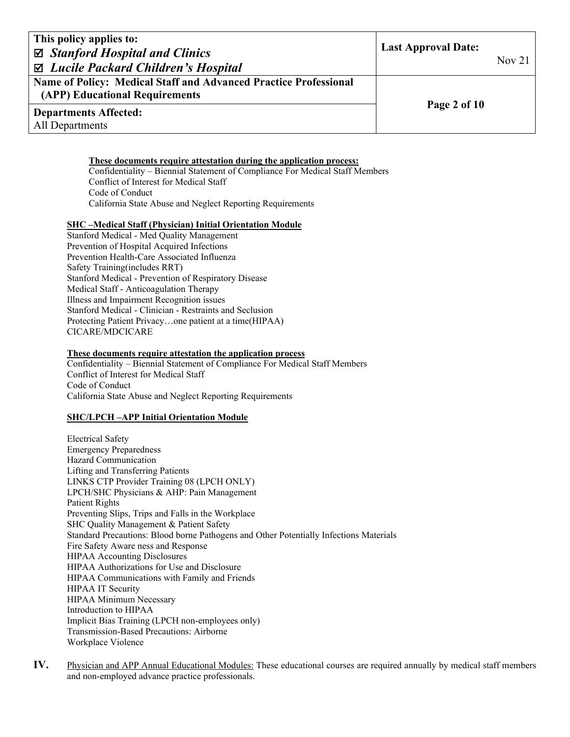| This policy applies to:<br>$\boxtimes$ Stanford Hospital and Clinics<br>⊠ Lucile Packard Children's Hospital | <b>Last Approval Date:</b> | Nov <sub>21</sub> |
|--------------------------------------------------------------------------------------------------------------|----------------------------|-------------------|
| Name of Policy: Medical Staff and Advanced Practice Professional<br>(APP) Educational Requirements           |                            |                   |
| <b>Departments Affected:</b><br>All Departments                                                              | Page 2 of 10               |                   |

## **These documents require attestation during the application process:**

Confidentiality – Biennial Statement of Compliance For Medical Staff Members Conflict of Interest for Medical Staff Code of Conduct California State Abuse and Neglect Reporting Requirements

#### **SHC –Medical Staff (Physician) Initial Orientation Module**

Stanford Medical - Med Quality Management Prevention of Hospital Acquired Infections Prevention Health-Care Associated Influenza Safety Training(includes RRT) Stanford Medical - Prevention of Respiratory Disease Medical Staff - Anticoagulation Therapy Illness and Impairment Recognition issues Stanford Medical - Clinician - Restraints and Seclusion Protecting Patient Privacy…one patient at a time(HIPAA) CICARE/MDCICARE

#### **These documents require attestation the application process**

Confidentiality – Biennial Statement of Compliance For Medical Staff Members Conflict of Interest for Medical Staff Code of Conduct California State Abuse and Neglect Reporting Requirements

### **SHC/LPCH –APP Initial Orientation Module**

Electrical Safety Emergency Preparedness Hazard Communication Lifting and Transferring Patients LINKS CTP Provider Training 08 (LPCH ONLY) LPCH/SHC Physicians & AHP: Pain Management Patient Rights Preventing Slips, Trips and Falls in the Workplace SHC Quality Management & Patient Safety Standard Precautions: Blood borne Pathogens and Other Potentially Infections Materials Fire Safety Aware ness and Response HIPAA Accounting Disclosures HIPAA Authorizations for Use and Disclosure HIPAA Communications with Family and Friends HIPAA IT Security HIPAA Minimum Necessary Introduction to HIPAA Implicit Bias Training (LPCH non-employees only) Transmission-Based Precautions: Airborne Workplace Violence

**IV.** Physician and APP Annual Educational Modules: These educational courses are required annually by medical staff members and non-employed advance practice professionals.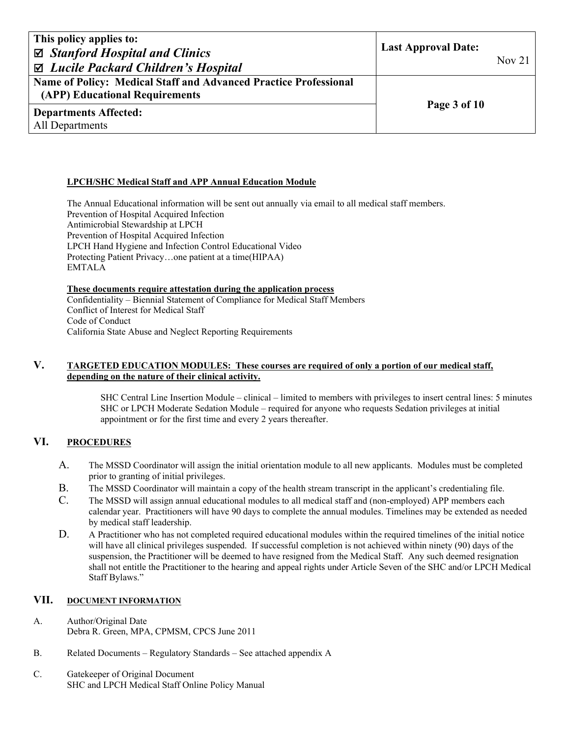| This policy applies to:<br>$\boxtimes$ Stanford Hospital and Clinics<br>$\boxtimes$ Lucile Packard Children's Hospital | <b>Last Approval Date:</b> | Nov $21$ |
|------------------------------------------------------------------------------------------------------------------------|----------------------------|----------|
| Name of Policy: Medical Staff and Advanced Practice Professional<br>(APP) Educational Requirements                     | Page 3 of 10               |          |
| <b>Departments Affected:</b><br>All Departments                                                                        |                            |          |

## **LPCH/SHC Medical Staff and APP Annual Education Module**

 The Annual Educational information will be sent out annually via email to all medical staff members. Prevention of Hospital Acquired Infection Antimicrobial Stewardship at LPCH Prevention of Hospital Acquired Infection LPCH Hand Hygiene and Infection Control Educational Video Protecting Patient Privacy…one patient at a time(HIPAA) EMTALA

### **These documents require attestation during the application process**

Confidentiality – Biennial Statement of Compliance for Medical Staff Members Conflict of Interest for Medical Staff Code of Conduct California State Abuse and Neglect Reporting Requirements

# **V. TARGETED EDUCATION MODULES: These courses are required of only a portion of our medical staff, depending on the nature of their clinical activity.**

SHC Central Line Insertion Module – clinical – limited to members with privileges to insert central lines: 5 minutes SHC or LPCH Moderate Sedation Module – required for anyone who requests Sedation privileges at initial appointment or for the first time and every 2 years thereafter.

# **VI. PROCEDURES**

- A. The MSSD Coordinator will assign the initial orientation module to all new applicants. Modules must be completed prior to granting of initial privileges.
- B. The MSSD Coordinator will maintain a copy of the health stream transcript in the applicant's credentialing file.
- C. The MSSD will assign annual educational modules to all medical staff and (non-employed) APP members each calendar year. Practitioners will have 90 days to complete the annual modules. Timelines may be extended as needed by medical staff leadership.
- D. A Practitioner who has not completed required educational modules within the required timelines of the initial notice will have all clinical privileges suspended. If successful completion is not achieved within ninety (90) days of the suspension, the Practitioner will be deemed to have resigned from the Medical Staff. Any such deemed resignation shall not entitle the Practitioner to the hearing and appeal rights under Article Seven of the SHC and/or LPCH Medical Staff Bylaws."

## **VII. DOCUMENT INFORMATION**

- A. Author/Original Date Debra R. Green, MPA, CPMSM, CPCS June 2011
- B. Related Documents Regulatory Standards See attached appendix A
- C. Gatekeeper of Original Document SHC and LPCH Medical Staff Online Policy Manual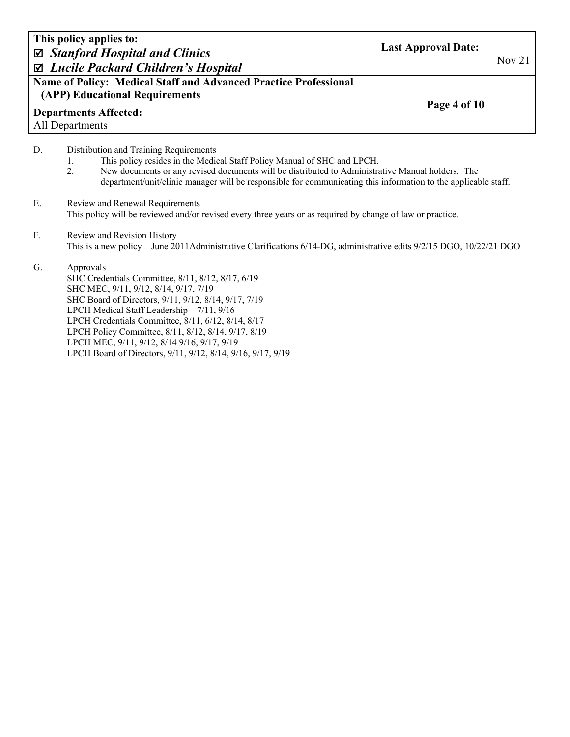| This policy applies to:<br>$\boxtimes$ Stanford Hospital and Clinics<br>$\boxtimes$ Lucile Packard Children's Hospital | <b>Last Approval Date:</b> | Nov $21$ |
|------------------------------------------------------------------------------------------------------------------------|----------------------------|----------|
| Name of Policy: Medical Staff and Advanced Practice Professional<br>(APP) Educational Requirements                     |                            |          |
| <b>Departments Affected:</b><br>All Departments                                                                        | Page 4 of 10               |          |

- D. Distribution and Training Requirements
	- 1. This policy resides in the Medical Staff Policy Manual of SHC and LPCH.<br>2. New documents or any revised documents will be distributed to Administration
	- 2. New documents or any revised documents will be distributed to Administrative Manual holders. The department/unit/clinic manager will be responsible for communicating this information to the applicable staff.
- E. Review and Renewal Requirements This policy will be reviewed and/or revised every three years or as required by change of law or practice.
- F. Review and Revision History This is a new policy – June 2011Administrative Clarifications 6/14-DG, administrative edits 9/2/15 DGO, 10/22/21 DGO

## G. Approvals

 SHC Credentials Committee, 8/11, 8/12, 8/17, 6/19 SHC MEC, 9/11, 9/12, 8/14, 9/17, 7/19 SHC Board of Directors, 9/11, 9/12, 8/14, 9/17, 7/19 LPCH Medical Staff Leadership – 7/11, 9/16 LPCH Credentials Committee, 8/11, 6/12, 8/14, 8/17 LPCH Policy Committee, 8/11, 8/12, 8/14, 9/17, 8/19 LPCH MEC, 9/11, 9/12, 8/14 9/16, 9/17, 9/19 LPCH Board of Directors, 9/11, 9/12, 8/14, 9/16, 9/17, 9/19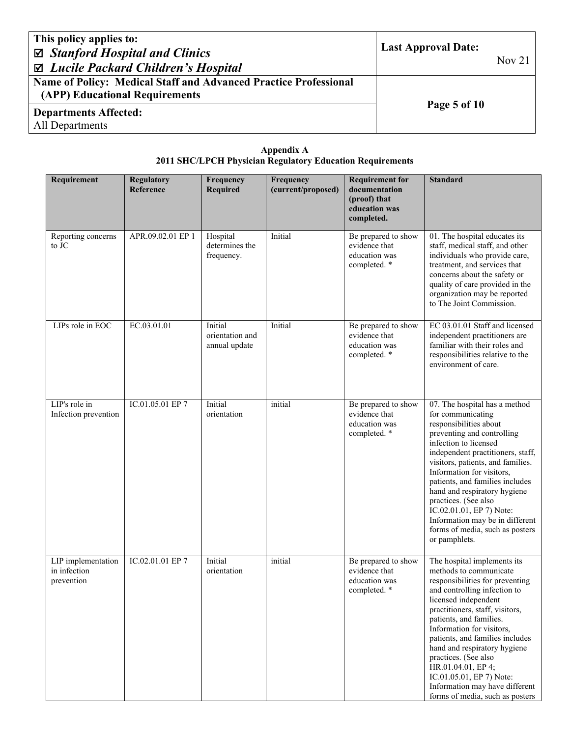| This policy applies to:<br>$\boxtimes$ Stanford Hospital and Clinics<br>⊠ Lucile Packard Children's Hospital | <b>Last Approval Date:</b> | Nov <sub>21</sub> |
|--------------------------------------------------------------------------------------------------------------|----------------------------|-------------------|
| <b>Name of Policy: Medical Staff and Advanced Practice Professional</b><br>(APP) Educational Requirements    |                            |                   |
| <b>Departments Affected:</b>                                                                                 | Page 5 of 10               |                   |

| Appendix A                                                       |  |
|------------------------------------------------------------------|--|
| <b>2011 SHC/LPCH Physician Regulatory Education Requirements</b> |  |

| Requirement                                      | <b>Regulatory</b><br>Reference | Frequency<br><b>Required</b>                | Frequency<br>(current/proposed) | <b>Requirement for</b><br>documentation<br>(proof) that<br>education was<br>completed. | <b>Standard</b>                                                                                                                                                                                                                                                                                                                                                                                                                                               |
|--------------------------------------------------|--------------------------------|---------------------------------------------|---------------------------------|----------------------------------------------------------------------------------------|---------------------------------------------------------------------------------------------------------------------------------------------------------------------------------------------------------------------------------------------------------------------------------------------------------------------------------------------------------------------------------------------------------------------------------------------------------------|
| Reporting concerns<br>to JC                      | APR.09.02.01 EP 1              | Hospital<br>determines the<br>frequency.    | Initial                         | Be prepared to show<br>evidence that<br>education was<br>completed. *                  | 01. The hospital educates its<br>staff, medical staff, and other<br>individuals who provide care,<br>treatment, and services that<br>concerns about the safety or<br>quality of care provided in the<br>organization may be reported<br>to The Joint Commission.                                                                                                                                                                                              |
| LIPs role in EOC                                 | EC.03.01.01                    | Initial<br>orientation and<br>annual update | Initial                         | Be prepared to show<br>evidence that<br>education was<br>completed. *                  | EC 03.01.01 Staff and licensed<br>independent practitioners are<br>familiar with their roles and<br>responsibilities relative to the<br>environment of care.                                                                                                                                                                                                                                                                                                  |
| LIP's role in<br>Infection prevention            | IC.01.05.01 EP 7               | Initial<br>orientation                      | initial                         | Be prepared to show<br>evidence that<br>education was<br>completed. *                  | 07. The hospital has a method<br>for communicating<br>responsibilities about<br>preventing and controlling<br>infection to licensed<br>independent practitioners, staff,<br>visitors, patients, and families.<br>Information for visitors,<br>patients, and families includes<br>hand and respiratory hygiene<br>practices. (See also<br>IC.02.01.01, EP 7) Note:<br>Information may be in different<br>forms of media, such as posters<br>or pamphlets.      |
| LIP implementation<br>in infection<br>prevention | IC.02.01.01 EP 7               | Initial<br>orientation                      | initial                         | Be prepared to show<br>evidence that<br>education was<br>completed. *                  | The hospital implements its<br>methods to communicate<br>responsibilities for preventing<br>and controlling infection to<br>licensed independent<br>practitioners, staff, visitors,<br>patients, and families.<br>Information for visitors,<br>patients, and families includes<br>hand and respiratory hygiene<br>practices. (See also<br>HR.01.04.01, EP 4;<br>IC.01.05.01, EP 7) Note:<br>Information may have different<br>forms of media, such as posters |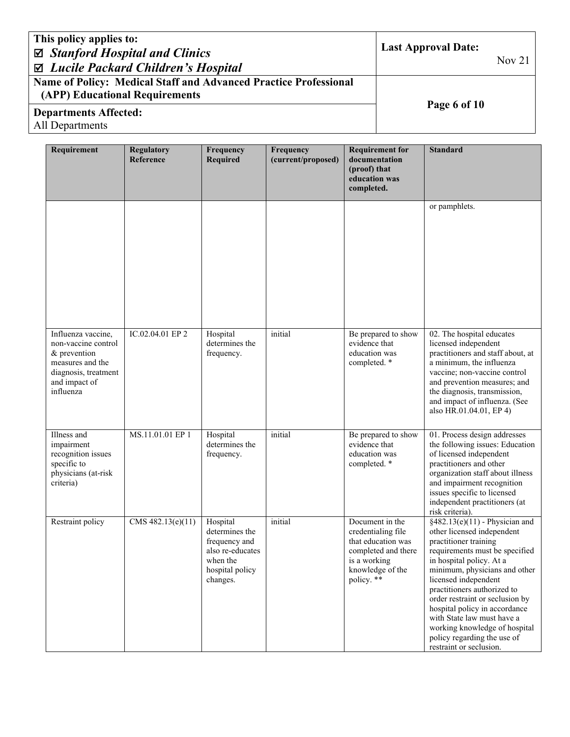| This policy applies to:<br>$\boxtimes$ Stanford Hospital and Clinics<br>$\Box$ Lucile Packard Children's Hospital | <b>Last Approval Date:</b> | Nov 21 $\parallel$ |
|-------------------------------------------------------------------------------------------------------------------|----------------------------|--------------------|
| <b>Name of Policy: Medical Staff and Advanced Practice Professional</b><br>(APP) Educational Requirements         | Page 6 of 10               |                    |
| <b>Departments Affected:</b><br>$\Lambda$ 11 Domaintenants                                                        |                            |                    |

| Requirement                                                                                                                         | <b>Regulatory</b><br>Reference | Frequency<br><b>Required</b>                                                                               | Frequency<br>(current/proposed) | <b>Requirement for</b><br>documentation<br>(proof) that<br>education was<br>completed.                                               | <b>Standard</b>                                                                                                                                                                                                                                                                                                                                                                                                                            |
|-------------------------------------------------------------------------------------------------------------------------------------|--------------------------------|------------------------------------------------------------------------------------------------------------|---------------------------------|--------------------------------------------------------------------------------------------------------------------------------------|--------------------------------------------------------------------------------------------------------------------------------------------------------------------------------------------------------------------------------------------------------------------------------------------------------------------------------------------------------------------------------------------------------------------------------------------|
|                                                                                                                                     |                                |                                                                                                            |                                 |                                                                                                                                      | or pamphlets.                                                                                                                                                                                                                                                                                                                                                                                                                              |
| Influenza vaccine,<br>non-vaccine control<br>& prevention<br>measures and the<br>diagnosis, treatment<br>and impact of<br>influenza | IC.02.04.01 EP 2               | Hospital<br>determines the<br>frequency.                                                                   | initial                         | Be prepared to show<br>evidence that<br>education was<br>completed. *                                                                | 02. The hospital educates<br>licensed independent<br>practitioners and staff about, at<br>a minimum, the influenza<br>vaccine; non-vaccine control<br>and prevention measures; and<br>the diagnosis, transmission,<br>and impact of influenza. (See<br>also HR.01.04.01, EP 4)                                                                                                                                                             |
| Illness and<br>impairment<br>recognition issues<br>specific to<br>physicians (at-risk<br>criteria)                                  | MS.11.01.01 EP 1               | Hospital<br>determines the<br>frequency.                                                                   | initial                         | Be prepared to show<br>evidence that<br>education was<br>completed. *                                                                | 01. Process design addresses<br>the following issues: Education<br>of licensed independent<br>practitioners and other<br>organization staff about illness<br>and impairment recognition<br>issues specific to licensed<br>independent practitioners (at<br>risk criteria).                                                                                                                                                                 |
| Restraint policy                                                                                                                    | CMS 482.13(e)(11)              | Hospital<br>determines the<br>frequency and<br>also re-educates<br>when the<br>hospital policy<br>changes. | initial                         | Document in the<br>credentialing file<br>that education was<br>completed and there<br>is a working<br>knowledge of the<br>policy. ** | $§482.13(e)(11)$ - Physician and<br>other licensed independent<br>practitioner training<br>requirements must be specified<br>in hospital policy. At a<br>minimum, physicians and other<br>licensed independent<br>practitioners authorized to<br>order restraint or seclusion by<br>hospital policy in accordance<br>with State law must have a<br>working knowledge of hospital<br>policy regarding the use of<br>restraint or seclusion. |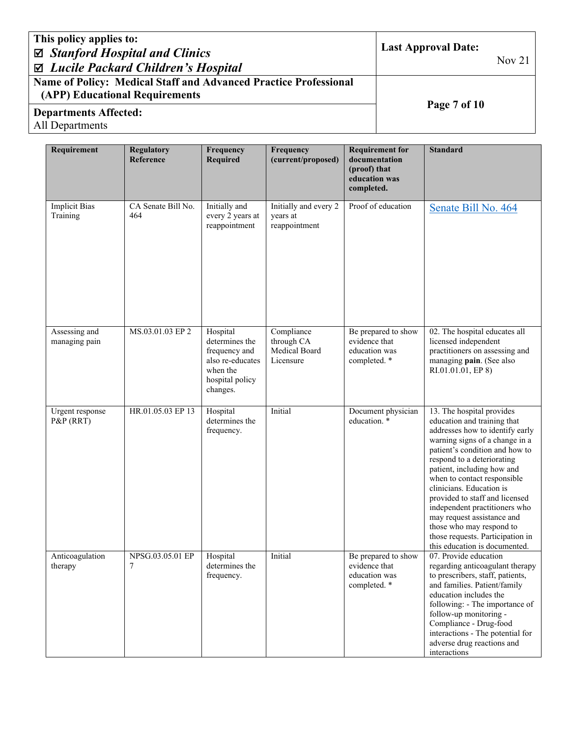| This policy applies to:<br>$\boxtimes$ Stanford Hospital and Clinics<br>$\Box$ Lucile Packard Children's Hospital | <b>Last Approval Date:</b> | Nov <sub>21</sub> |
|-------------------------------------------------------------------------------------------------------------------|----------------------------|-------------------|
| <b>Name of Policy: Medical Staff and Advanced Practice Professional</b><br>(APP) Educational Requirements         |                            |                   |
| <b>Departments Affected:</b>                                                                                      | Page 7 of 10               |                   |

| Requirement                      | <b>Regulatory</b><br>Reference | Frequency<br><b>Required</b>                                                                               | Frequency<br>(current/proposed)                        | <b>Requirement for</b><br>documentation<br>(proof) that<br>education was<br>completed. | <b>Standard</b>                                                                                                                                                                                                                                                                                                                                                                                                                                                                          |
|----------------------------------|--------------------------------|------------------------------------------------------------------------------------------------------------|--------------------------------------------------------|----------------------------------------------------------------------------------------|------------------------------------------------------------------------------------------------------------------------------------------------------------------------------------------------------------------------------------------------------------------------------------------------------------------------------------------------------------------------------------------------------------------------------------------------------------------------------------------|
| <b>Implicit Bias</b><br>Training | CA Senate Bill No.<br>464      | Initially and<br>every 2 years at<br>reappointment                                                         | Initially and every 2<br>years at<br>reappointment     | Proof of education                                                                     | Senate Bill No. 464                                                                                                                                                                                                                                                                                                                                                                                                                                                                      |
| Assessing and<br>managing pain   | MS.03.01.03 EP 2               | Hospital<br>determines the<br>frequency and<br>also re-educates<br>when the<br>hospital policy<br>changes. | Compliance<br>through CA<br>Medical Board<br>Licensure | Be prepared to show<br>evidence that<br>education was<br>completed. *                  | 02. The hospital educates all<br>licensed independent<br>practitioners on assessing and<br>managing pain. (See also<br>RI.01.01.01, EP 8)                                                                                                                                                                                                                                                                                                                                                |
| Urgent response<br>P&P (RRT)     | HR.01.05.03 EP 13              | Hospital<br>determines the<br>frequency.                                                                   | Initial                                                | Document physician<br>education. *                                                     | 13. The hospital provides<br>education and training that<br>addresses how to identify early<br>warning signs of a change in a<br>patient's condition and how to<br>respond to a deteriorating<br>patient, including how and<br>when to contact responsible<br>clinicians. Education is<br>provided to staff and licensed<br>independent practitioners who<br>may request assistance and<br>those who may respond to<br>those requests. Participation in<br>this education is documented. |
| Anticoagulation<br>therapy       | NPSG.03.05.01 EP<br>7          | Hospital<br>determines the<br>frequency.                                                                   | Initial                                                | Be prepared to show<br>evidence that<br>education was<br>completed. *                  | 07. Provide education<br>regarding anticoagulant therapy<br>to prescribers, staff, patients,<br>and families. Patient/family<br>education includes the<br>following: - The importance of<br>follow-up monitoring -<br>Compliance - Drug-food<br>interactions - The potential for<br>adverse drug reactions and<br>interactions                                                                                                                                                           |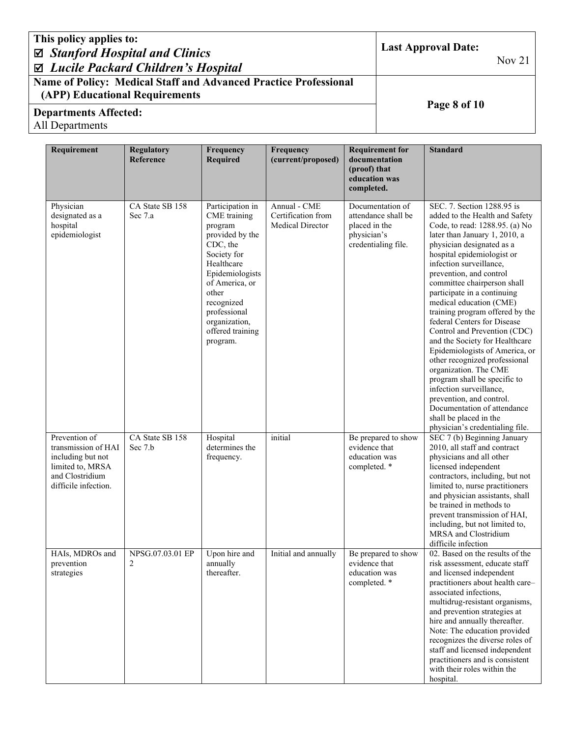| This policy applies to:<br>$\boxtimes$ Stanford Hospital and Clinics<br>⊠ Lucile Packard Children's Hospital | <b>Last Approval Date:</b><br>Nov <sub>21</sub> |
|--------------------------------------------------------------------------------------------------------------|-------------------------------------------------|
| <b>Name of Policy: Medical Staff and Advanced Practice Professional</b><br>(APP) Educational Requirements    |                                                 |
| <b>Departments Affected:</b>                                                                                 | Page 8 of 10                                    |

| Requirement                                                                                                              | <b>Regulatory</b><br>Reference | Frequency<br><b>Required</b>                                                                                                                                                                                                         | Frequency<br>(current/proposed)                               | <b>Requirement for</b><br>documentation<br>(proof) that<br>education was<br>completed.         | <b>Standard</b>                                                                                                                                                                                                                                                                                                                                                                                                                                                                                                                                                                                                                                                                                                                                              |
|--------------------------------------------------------------------------------------------------------------------------|--------------------------------|--------------------------------------------------------------------------------------------------------------------------------------------------------------------------------------------------------------------------------------|---------------------------------------------------------------|------------------------------------------------------------------------------------------------|--------------------------------------------------------------------------------------------------------------------------------------------------------------------------------------------------------------------------------------------------------------------------------------------------------------------------------------------------------------------------------------------------------------------------------------------------------------------------------------------------------------------------------------------------------------------------------------------------------------------------------------------------------------------------------------------------------------------------------------------------------------|
| Physician<br>designated as a<br>hospital<br>epidemiologist                                                               | CA State SB 158<br>Sec 7.a     | Participation in<br>CME training<br>program<br>provided by the<br>CDC, the<br>Society for<br>Healthcare<br>Epidemiologists<br>of America, or<br>other<br>recognized<br>professional<br>organization,<br>offered training<br>program. | Annual - CME<br>Certification from<br><b>Medical Director</b> | Documentation of<br>attendance shall be<br>placed in the<br>physician's<br>credentialing file. | SEC. 7. Section 1288.95 is<br>added to the Health and Safety<br>Code, to read: 1288.95. (a) No<br>later than January 1, 2010, a<br>physician designated as a<br>hospital epidemiologist or<br>infection surveillance,<br>prevention, and control<br>committee chairperson shall<br>participate in a continuing<br>medical education (CME)<br>training program offered by the<br>federal Centers for Disease<br>Control and Prevention (CDC)<br>and the Society for Healthcare<br>Epidemiologists of America, or<br>other recognized professional<br>organization. The CME<br>program shall be specific to<br>infection surveillance,<br>prevention, and control.<br>Documentation of attendance<br>shall be placed in the<br>physician's credentialing file. |
| Prevention of<br>transmission of HAI<br>including but not<br>limited to, MRSA<br>and Clostridium<br>difficile infection. | CA State SB 158<br>Sec 7.b     | Hospital<br>determines the<br>frequency.                                                                                                                                                                                             | initial                                                       | Be prepared to show<br>evidence that<br>education was<br>completed. *                          | SEC 7 (b) Beginning January<br>2010, all staff and contract<br>physicians and all other<br>licensed independent<br>contractors, including, but not<br>limited to, nurse practitioners<br>and physician assistants, shall<br>be trained in methods to<br>prevent transmission of HAI,<br>including, but not limited to,<br>MRSA and Clostridium<br>difficile infection                                                                                                                                                                                                                                                                                                                                                                                        |
| HAIs, MDROs and<br>prevention<br>strategies                                                                              | NPSG.07.03.01 EP<br>2          | Upon hire and<br>annually<br>thereafter.                                                                                                                                                                                             | Initial and annually                                          | Be prepared to show<br>evidence that<br>education was<br>completed. *                          | 02. Based on the results of the<br>risk assessment, educate staff<br>and licensed independent<br>practitioners about health care-<br>associated infections,<br>multidrug-resistant organisms,<br>and prevention strategies at<br>hire and annually thereafter.<br>Note: The education provided<br>recognizes the diverse roles of<br>staff and licensed independent<br>practitioners and is consistent<br>with their roles within the<br>hospital.                                                                                                                                                                                                                                                                                                           |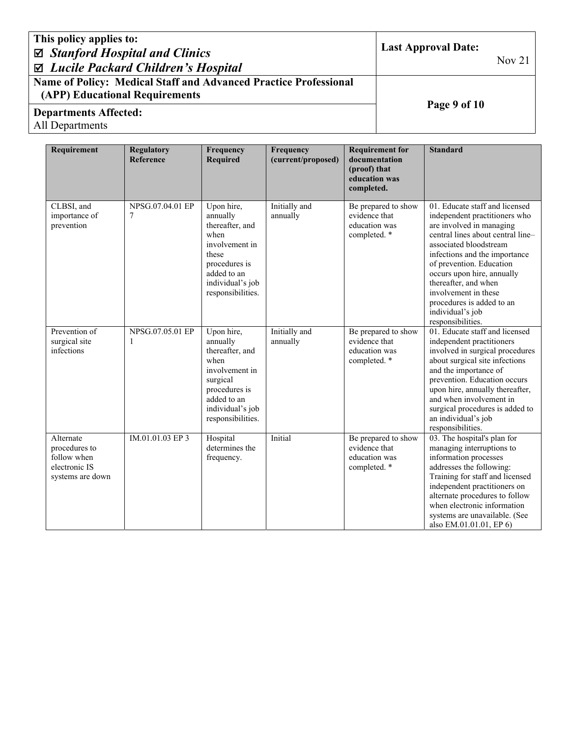| This policy applies to:<br>$\boxtimes$ Stanford Hospital and Clinics<br>⊠ Lucile Packard Children's Hospital | <b>Last Approval Date:</b> | Nov $21$ |
|--------------------------------------------------------------------------------------------------------------|----------------------------|----------|
| Name of Policy: Medical Staff and Advanced Practice Professional<br>(APP) Educational Requirements           |                            |          |
| <b>Departments Affected:</b><br>All Departments                                                              | Page 9 of 10               |          |
|                                                                                                              |                            |          |

| Requirement                                                                    | <b>Regulatory</b><br>Reference   | Frequency<br><b>Required</b>                                                                                                                             | Frequency<br>(current/proposed) | <b>Requirement for</b><br>documentation<br>(proof) that<br>education was<br>completed. | <b>Standard</b>                                                                                                                                                                                                                                                                                                                                                             |
|--------------------------------------------------------------------------------|----------------------------------|----------------------------------------------------------------------------------------------------------------------------------------------------------|---------------------------------|----------------------------------------------------------------------------------------|-----------------------------------------------------------------------------------------------------------------------------------------------------------------------------------------------------------------------------------------------------------------------------------------------------------------------------------------------------------------------------|
| CLBSI, and<br>importance of<br>prevention                                      | NPSG.07.04.01 EP<br>7            | Upon hire,<br>annually<br>thereafter, and<br>when<br>involvement in<br>these<br>procedures is<br>added to an<br>individual's job<br>responsibilities.    | Initially and<br>annually       | Be prepared to show<br>evidence that<br>education was<br>completed. *                  | 01. Educate staff and licensed<br>independent practitioners who<br>are involved in managing<br>central lines about central line-<br>associated bloodstream<br>infections and the importance<br>of prevention. Education<br>occurs upon hire, annually<br>thereafter, and when<br>involvement in these<br>procedures is added to an<br>individual's job<br>responsibilities. |
| Prevention of<br>surgical site<br>infections                                   | NPSG.07.05.01 EP<br>$\mathbf{1}$ | Upon hire,<br>annually<br>thereafter, and<br>when<br>involvement in<br>surgical<br>procedures is<br>added to an<br>individual's job<br>responsibilities. | Initially and<br>annually       | Be prepared to show<br>evidence that<br>education was<br>completed. *                  | 01. Educate staff and licensed<br>independent practitioners<br>involved in surgical procedures<br>about surgical site infections<br>and the importance of<br>prevention. Education occurs<br>upon hire, annually thereafter,<br>and when involvement in<br>surgical procedures is added to<br>an individual's job<br>responsibilities.                                      |
| Alternate<br>procedures to<br>follow when<br>electronic IS<br>systems are down | IM.01.01.03 EP 3                 | Hospital<br>determines the<br>frequency.                                                                                                                 | Initial                         | Be prepared to show<br>evidence that<br>education was<br>completed. *                  | $\overline{03}$ . The hospital's plan for<br>managing interruptions to<br>information processes<br>addresses the following:<br>Training for staff and licensed<br>independent practitioners on<br>alternate procedures to follow<br>when electronic information<br>systems are unavailable. (See<br>also EM.01.01.01, EP 6)                                                 |